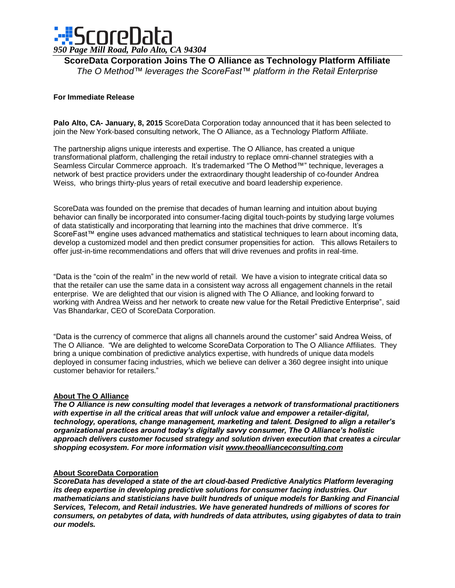

**ScoreData Corporation Joins The O Alliance as Technology Platform Affiliate** *The O Method™ leverages the ScoreFast™ platform in the Retail Enterprise*

## **For Immediate Release**

**Palo Alto, CA- January, 8, 2015** ScoreData Corporation today announced that it has been selected to join the New York-based consulting network, The O Alliance, as a Technology Platform Affiliate.

The partnership aligns unique interests and expertise. The O Alliance, has created a unique transformational platform, challenging the retail industry to replace omni-channel strategies with a Seamless Circular Commerce approach. It's trademarked "The O Method™" technique, leverages a network of best practice providers under the extraordinary thought leadership of co-founder Andrea Weiss, who brings thirty-plus years of retail executive and board leadership experience.

ScoreData was founded on the premise that decades of human learning and intuition about buying behavior can finally be incorporated into consumer-facing digital touch-points by studying large volumes of data statistically and incorporating that learning into the machines that drive commerce. It's ScoreFast<sup>™</sup> engine uses advanced mathematics and statistical techniques to learn about incoming data, develop a customized model and then predict consumer propensities for action. This allows Retailers to offer just-in-time recommendations and offers that will drive revenues and profits in real-time.

"Data is the "coin of the realm" in the new world of retail. We have a vision to integrate critical data so that the retailer can use the same data in a consistent way across all engagement channels in the retail enterprise. We are delighted that our vision is aligned with The O Alliance, and looking forward to working with Andrea Weiss and her network to create new value for the Retail Predictive Enterprise", said Vas Bhandarkar, CEO of ScoreData Corporation.

"Data is the currency of commerce that aligns all channels around the customer" said Andrea Weiss, of The O Alliance. "We are delighted to welcome ScoreData Corporation to The O Alliance Affiliates. They bring a unique combination of predictive analytics expertise, with hundreds of unique data models deployed in consumer facing industries, which we believe can deliver a 360 degree insight into unique customer behavior for retailers."

## **About The O Alliance**

*The O Alliance is new consulting model that leverages a network of transformational practitioners with expertise in all the critical areas that will unlock value and empower a retailer-digital, technology, operations, change management, marketing and talent. Designed to align a retailer's organizational practices around today's digitally savvy consumer, The O Alliance's holistic approach delivers customer focused strategy and solution driven execution that creates a circular shopping ecosystem. For more information visit www.theoallianceconsulting.com*

## **About ScoreData Corporation**

*ScoreData has developed a state of the art cloud-based Predictive Analytics Platform leveraging its deep expertise in developing predictive solutions for consumer facing industries. Our mathematicians and statisticians have built hundreds of unique models for Banking and Financial Services, Telecom, and Retail industries. We have generated hundreds of millions of scores for consumers, on petabytes of data, with hundreds of data attributes, using gigabytes of data to train our models.*